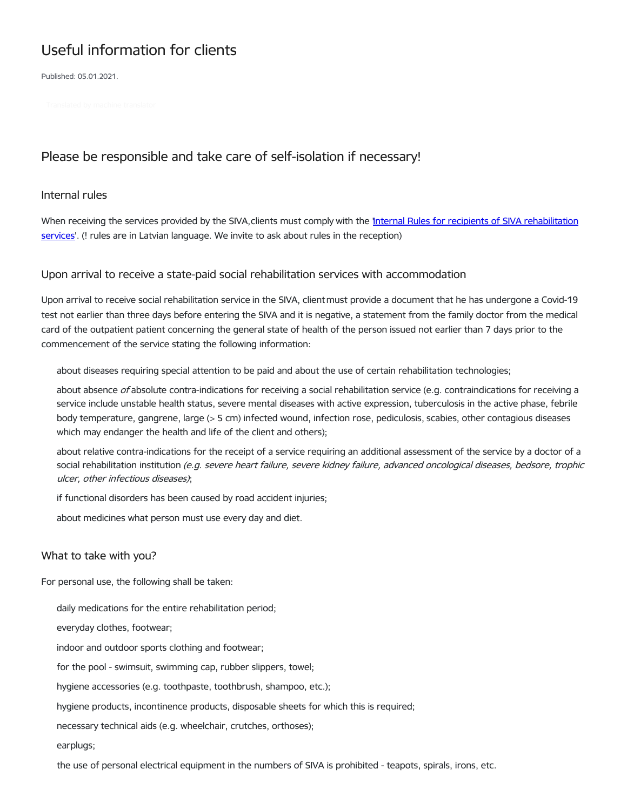# Useful information for clients

Published: 05.01.2021.

# Please be responsible and take care of self-isolation if necessary!

#### Internal rules

When receiving the services provided by the SIVA, clients must comply with the 'Internal Rules for recipients of SIVA [rehabilitation](https://www.siva.gov.lv/sites/siva/files/iekshejas_kartibas_noteikumi-2020_junijs_konsolidets1_0.pdf) services'. (! rules are in Latvian language. We invite to ask about rules in the reception)

## Upon arrival to receive a state-paid social rehabilitation services with accommodation

Upon arrival to receive social rehabilitation service in the SIVA, client must provide a document that he has undergone a Covid-19 test not earlier than three days before entering the SIVA and it is negative, a statement from the family doctor from the medical card of the outpatient patient concerning the general state of health of the person issued not earlier than 7 days prior to the commencement of the service stating the following information:

about diseases requiring special attention to be paid and about the use of certain rehabilitation technologies;

about absence of absolute contra-indications for receiving a social rehabilitation service (e.g. contraindications for receiving a service include unstable health status, severe mental diseases with active expression, tuberculosis in the active phase, febrile body temperature, gangrene, large (> 5 cm) infected wound, infection rose, pediculosis, scabies, other contagious diseases which may endanger the health and life of the client and others);

about relative contra-indications for the receipt of a service requiring an additional assessment of the service by a doctor of a social rehabilitation institution (e.g. severe heart failure, severe kidney failure, advanced oncological diseases, bedsore, trophic ulcer, other infectious diseases);

if functional disorders has been caused by road accident injuries;

about medicines what person must use every day and diet.

## What to take with you?

For personal use, the following shall be taken:

daily medications for the entire rehabilitation period;

everyday clothes, footwear;

indoor and outdoor sports clothing and footwear;

for the pool - swimsuit, swimming cap, rubber slippers, towel;

hygiene accessories (e.g. toothpaste, toothbrush, shampoo, etc.);

hygiene products, incontinence products, disposable sheets for which this is required;

necessary technical aids (e.g. wheelchair, crutches, orthoses);

earplugs;

the use of personal electrical equipment in the numbers of SIVA is prohibited - teapots, spirals, irons, etc.